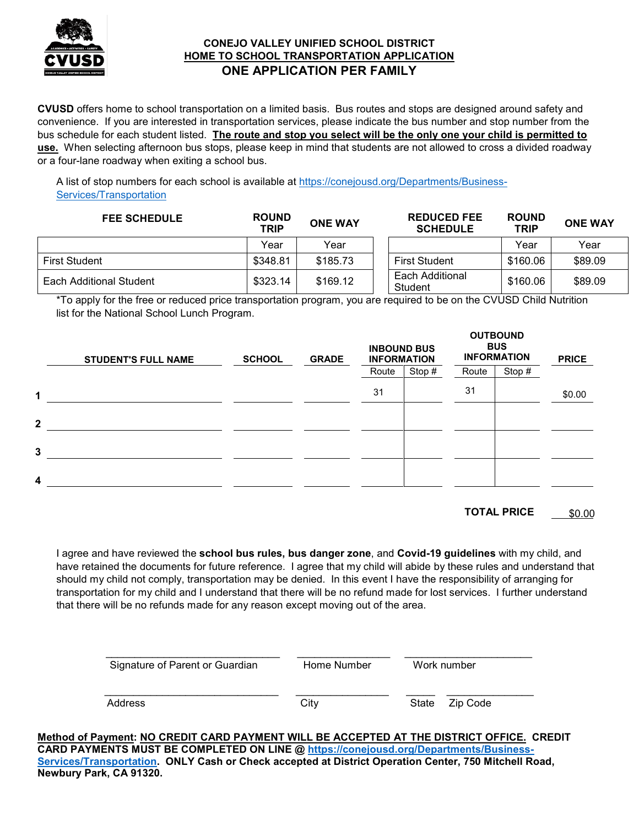

## **CONEJO VALLEY UNIFIED SCHOOL DISTRICT HOME TO SCHOOL TRANSPORTATION APPLICATION ONE APPLICATION PER FAMILY**

**CVUSD** offers home to school transportation on a limited basis. Bus routes and stops are designed around safety and convenience. If you are interested in transportation services, please indicate the bus number and stop number from the bus schedule for each student listed. **The route and stop you select will be the only one your child is permitted to use.** When selecting afternoon bus stops, please keep in mind that students are not allowed to cross a divided roadway or a four-lane roadway when exiting a school bus.

A list of stop numbers for each school is available at [https://conejousd.org/Departments/Business-](https://conejousd.org/Departments/Business-Services/Transportation)[Services/Transportation](https://conejousd.org/Departments/Business-Services/Transportation)

| <b>FEE SCHEDULE</b>     | <b>ROUND</b><br><b>TRIP</b> | <b>ONE WAY</b> | <b>REDUCED FEE</b><br><b>SCHEDULE</b> | <b>ROUND</b><br><b>TRIP</b> | <b>ONE WAY</b> |
|-------------------------|-----------------------------|----------------|---------------------------------------|-----------------------------|----------------|
|                         | Year                        | Year           |                                       | Year                        | Year           |
| <b>First Student</b>    | \$348.81                    | \$185.73       | <b>First Student</b>                  | \$160.06                    | \$89.09        |
| Each Additional Student | \$323.14                    | \$169.12       | Each Additional<br>Student            | \$160.06                    | \$89.09        |

\*To apply for the free or reduced price transportation program, you are required to be on the CVUSD Child Nutrition list for the National School Lunch Program.

|                | <b>STUDENT'S FULL NAME</b> | <b>SCHOOL</b> | <b>GRADE</b> | <b>INBOUND BUS</b><br><b>INFORMATION</b> |        | <b>OUTBOUND</b><br><b>BUS</b><br><b>INFORMATION</b> |        | <b>PRICE</b> |
|----------------|----------------------------|---------------|--------------|------------------------------------------|--------|-----------------------------------------------------|--------|--------------|
|                |                            |               |              | Route                                    | Stop # | Route                                               | Stop # |              |
| 1              |                            |               |              | 31                                       |        | 31                                                  |        | \$0.00       |
| $\overline{2}$ |                            |               |              |                                          |        |                                                     |        |              |
| $\mathbf{3}$   |                            |               |              |                                          |        |                                                     |        |              |
| 4              |                            |               |              |                                          |        |                                                     |        |              |

**TOTAL PRICE** \$0.00

I agree and have reviewed the **school bus rules, bus danger zone**, and **Covid-19 guidelines** with my child, and have retained the documents for future reference. I agree that my child will abide by these rules and understand that should my child not comply, transportation may be denied. In this event I have the responsibility of arranging for transportation for my child and I understand that there will be no refund made for lost services. I further understand that there will be no refunds made for any reason except moving out of the area.

| Home Number |       | Work number |
|-------------|-------|-------------|
| City        | State | Zip Code    |
|             |       |             |

**Method of Payment: NO CREDIT CARD PAYMENT WILL BE ACCEPTED AT THE DISTRICT OFFICE. CREDIT CARD PAYMENTS MUST BE COMPLETED ON LINE @ [https://conejousd.org/Departments/Business-](https://conejousd.org/Departments/Business-Services/Transportation)[Services/Transportation.](https://conejousd.org/Departments/Business-Services/Transportation) ONLY Cash or Check accepted at District Operation Center, 750 Mitchell Road, Newbury Park, CA 91320.**